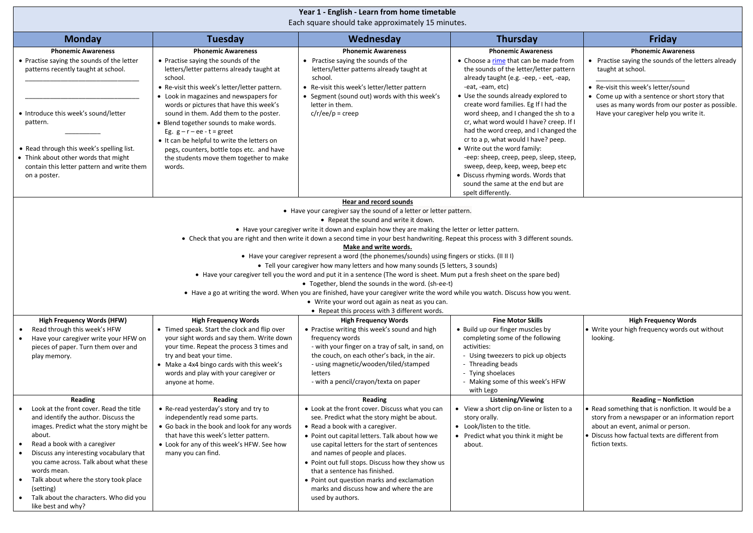| Year 1 - English - Learn from home timetable<br>Each square should take approximately 15 minutes.                                                                                   |                                                                                                                                                                                                                     |                                                                                                                                                                                                                                             |                                                                                                                                                                                                                      |                                                                                                                                                                                               |  |  |  |
|-------------------------------------------------------------------------------------------------------------------------------------------------------------------------------------|---------------------------------------------------------------------------------------------------------------------------------------------------------------------------------------------------------------------|---------------------------------------------------------------------------------------------------------------------------------------------------------------------------------------------------------------------------------------------|----------------------------------------------------------------------------------------------------------------------------------------------------------------------------------------------------------------------|-----------------------------------------------------------------------------------------------------------------------------------------------------------------------------------------------|--|--|--|
| <b>Monday</b>                                                                                                                                                                       | <b>Tuesday</b>                                                                                                                                                                                                      | Wednesday                                                                                                                                                                                                                                   | <b>Thursday</b>                                                                                                                                                                                                      | Friday                                                                                                                                                                                        |  |  |  |
| <b>Phonemic Awareness</b><br>• Practise saying the sounds of the letter<br>patterns recently taught at school.                                                                      | <b>Phonemic Awareness</b><br>• Practise saying the sounds of the<br>letters/letter patterns already taught at<br>school.<br>• Re-visit this week's letter/letter pattern.<br>• Look in magazines and newspapers for | <b>Phonemic Awareness</b><br>• Practise saying the sounds of the<br>letters/letter patterns already taught at<br>school.<br>• Re-visit this week's letter/letter pattern<br>• Segment (sound out) words with this week's                    | <b>Phonemic Awareness</b><br>• Choose a rime that can be made from<br>the sounds of the letter/letter pattern<br>already taught (e.g. -eep, - eet, -eap,<br>-eat, -eam, etc)<br>• Use the sounds already explored to | <b>Phonemic Awareness</b><br>• Practise saying the sounds of the letters already<br>taught at school.<br>• Re-visit this week's letter/sound<br>• Come up with a sentence or short story that |  |  |  |
| • Introduce this week's sound/letter<br>pattern.                                                                                                                                    | words or pictures that have this week's<br>sound in them. Add them to the poster.<br>• Blend together sounds to make words.<br>Eg. $g - r - ee - t = greet$<br>• It can be helpful to write the letters on          | letter in them.<br>$c/r/ee/p = creep$                                                                                                                                                                                                       | create word families. Eg If I had the<br>word sheep, and I changed the sh to a<br>cr, what word would I have? creep. If I<br>had the word creep, and I changed the<br>cr to a p, what would I have? peep.            | uses as many words from our poster as possible.<br>Have your caregiver help you write it.                                                                                                     |  |  |  |
| • Read through this week's spelling list.<br>• Think about other words that might<br>contain this letter pattern and write them<br>on a poster.                                     | pegs, counters, bottle tops etc. and have<br>the students move them together to make<br>words.                                                                                                                      |                                                                                                                                                                                                                                             | • Write out the word family:<br>-eep: sheep, creep, peep, sleep, steep,<br>sweep, deep, keep, weep, beep etc<br>• Discuss rhyming words. Words that<br>sound the same at the end but are<br>spelt differently.       |                                                                                                                                                                                               |  |  |  |
|                                                                                                                                                                                     |                                                                                                                                                                                                                     |                                                                                                                                                                                                                                             |                                                                                                                                                                                                                      |                                                                                                                                                                                               |  |  |  |
| Hear and record sounds<br>• Have your caregiver say the sound of a letter or letter pattern.                                                                                        |                                                                                                                                                                                                                     |                                                                                                                                                                                                                                             |                                                                                                                                                                                                                      |                                                                                                                                                                                               |  |  |  |
|                                                                                                                                                                                     |                                                                                                                                                                                                                     | • Repeat the sound and write it down.                                                                                                                                                                                                       |                                                                                                                                                                                                                      |                                                                                                                                                                                               |  |  |  |
|                                                                                                                                                                                     |                                                                                                                                                                                                                     | • Have your caregiver write it down and explain how they are making the letter or letter pattern.<br>• Check that you are right and then write it down a second time in your best handwriting. Repeat this process with 3 different sounds. |                                                                                                                                                                                                                      |                                                                                                                                                                                               |  |  |  |
|                                                                                                                                                                                     |                                                                                                                                                                                                                     | Make and write words.                                                                                                                                                                                                                       |                                                                                                                                                                                                                      |                                                                                                                                                                                               |  |  |  |
|                                                                                                                                                                                     |                                                                                                                                                                                                                     | • Have your caregiver represent a word (the phonemes/sounds) using fingers or sticks. (II II I)                                                                                                                                             |                                                                                                                                                                                                                      |                                                                                                                                                                                               |  |  |  |
|                                                                                                                                                                                     |                                                                                                                                                                                                                     |                                                                                                                                                                                                                                             |                                                                                                                                                                                                                      |                                                                                                                                                                                               |  |  |  |
| • Tell your caregiver how many letters and how many sounds (5 letters, 3 sounds)                                                                                                    |                                                                                                                                                                                                                     |                                                                                                                                                                                                                                             |                                                                                                                                                                                                                      |                                                                                                                                                                                               |  |  |  |
| • Have your caregiver tell you the word and put it in a sentence (The word is sheet. Mum put a fresh sheet on the spare bed)<br>• Together, blend the sounds in the word. (sh-ee-t) |                                                                                                                                                                                                                     |                                                                                                                                                                                                                                             |                                                                                                                                                                                                                      |                                                                                                                                                                                               |  |  |  |
|                                                                                                                                                                                     |                                                                                                                                                                                                                     | • Have a go at writing the word. When you are finished, have your caregiver write the word while you watch. Discuss how you went.                                                                                                           |                                                                                                                                                                                                                      |                                                                                                                                                                                               |  |  |  |
|                                                                                                                                                                                     |                                                                                                                                                                                                                     | • Write your word out again as neat as you can.<br>• Repeat this process with 3 different words.                                                                                                                                            |                                                                                                                                                                                                                      |                                                                                                                                                                                               |  |  |  |
| <b>High Frequency Words (HFW)</b>                                                                                                                                                   | <b>High Frequency Words</b>                                                                                                                                                                                         | <b>High Frequency Words</b>                                                                                                                                                                                                                 | <b>Fine Motor Skills</b>                                                                                                                                                                                             | <b>High Frequency Words</b>                                                                                                                                                                   |  |  |  |
| Read through this week's HFW                                                                                                                                                        | • Timed speak. Start the clock and flip over                                                                                                                                                                        | • Practise writing this week's sound and high                                                                                                                                                                                               | • Build up our finger muscles by                                                                                                                                                                                     | • Write your high frequency words out without                                                                                                                                                 |  |  |  |
| Have your caregiver write your HFW on                                                                                                                                               | your sight words and say them. Write down                                                                                                                                                                           | frequency words                                                                                                                                                                                                                             | completing some of the following                                                                                                                                                                                     | looking.                                                                                                                                                                                      |  |  |  |
| pieces of paper. Turn them over and                                                                                                                                                 | your time. Repeat the process 3 times and                                                                                                                                                                           | - with your finger on a tray of salt, in sand, on                                                                                                                                                                                           | activities:                                                                                                                                                                                                          |                                                                                                                                                                                               |  |  |  |
| play memory.                                                                                                                                                                        | try and beat your time.                                                                                                                                                                                             | the couch, on each other's back, in the air.                                                                                                                                                                                                | - Using tweezers to pick up objects                                                                                                                                                                                  |                                                                                                                                                                                               |  |  |  |
|                                                                                                                                                                                     | • Make a 4x4 bingo cards with this week's<br>words and play with your caregiver or                                                                                                                                  | - using magnetic/wooden/tiled/stamped<br>letters                                                                                                                                                                                            | - Threading beads<br>- Tying shoelaces                                                                                                                                                                               |                                                                                                                                                                                               |  |  |  |
|                                                                                                                                                                                     | anyone at home.                                                                                                                                                                                                     | - with a pencil/crayon/texta on paper                                                                                                                                                                                                       | - Making some of this week's HFW                                                                                                                                                                                     |                                                                                                                                                                                               |  |  |  |
|                                                                                                                                                                                     |                                                                                                                                                                                                                     |                                                                                                                                                                                                                                             | with Lego                                                                                                                                                                                                            |                                                                                                                                                                                               |  |  |  |
| Reading                                                                                                                                                                             | Reading                                                                                                                                                                                                             | Reading                                                                                                                                                                                                                                     | Listening/Viewing                                                                                                                                                                                                    | <b>Reading - Nonfiction</b>                                                                                                                                                                   |  |  |  |
| Look at the front cover. Read the title                                                                                                                                             | • Re-read yesterday's story and try to                                                                                                                                                                              | • Look at the front cover. Discuss what you can                                                                                                                                                                                             | • View a short clip on-line or listen to a                                                                                                                                                                           | • Read something that is nonfiction. It would be a                                                                                                                                            |  |  |  |
| and identify the author. Discuss the<br>images. Predict what the story might be                                                                                                     | independently read some parts.                                                                                                                                                                                      | see. Predict what the story might be about.                                                                                                                                                                                                 | story orally.<br>• Look/listen to the title.                                                                                                                                                                         | story from a newspaper or an information report<br>about an event, animal or person.                                                                                                          |  |  |  |
| about.                                                                                                                                                                              | • Go back in the book and look for any words<br>that have this week's letter pattern.                                                                                                                               | • Read a book with a caregiver.<br>• Point out capital letters. Talk about how we                                                                                                                                                           | • Predict what you think it might be                                                                                                                                                                                 | Discuss how factual texts are different from                                                                                                                                                  |  |  |  |
| Read a book with a caregiver                                                                                                                                                        | • Look for any of this week's HFW. See how                                                                                                                                                                          | use capital letters for the start of sentences                                                                                                                                                                                              | about.                                                                                                                                                                                                               | fiction texts.                                                                                                                                                                                |  |  |  |
| Discuss any interesting vocabulary that                                                                                                                                             | many you can find.                                                                                                                                                                                                  | and names of people and places.                                                                                                                                                                                                             |                                                                                                                                                                                                                      |                                                                                                                                                                                               |  |  |  |
| you came across. Talk about what these<br>words mean.                                                                                                                               |                                                                                                                                                                                                                     | • Point out full stops. Discuss how they show us<br>that a sentence has finished.                                                                                                                                                           |                                                                                                                                                                                                                      |                                                                                                                                                                                               |  |  |  |
| Talk about where the story took place                                                                                                                                               |                                                                                                                                                                                                                     | • Point out question marks and exclamation                                                                                                                                                                                                  |                                                                                                                                                                                                                      |                                                                                                                                                                                               |  |  |  |
| (setting)                                                                                                                                                                           |                                                                                                                                                                                                                     | marks and discuss how and where the are                                                                                                                                                                                                     |                                                                                                                                                                                                                      |                                                                                                                                                                                               |  |  |  |
| Talk about the characters. Who did you<br>like best and why?                                                                                                                        |                                                                                                                                                                                                                     | used by authors.                                                                                                                                                                                                                            |                                                                                                                                                                                                                      |                                                                                                                                                                                               |  |  |  |